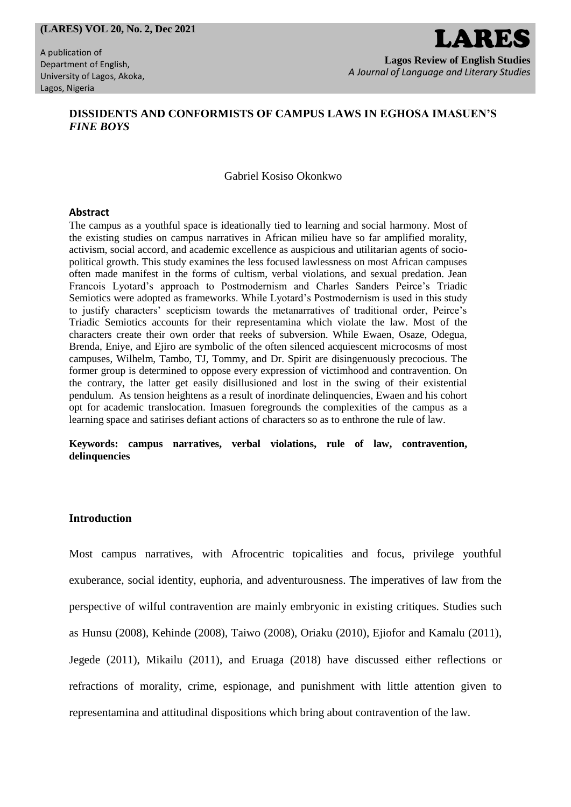#### **(LARES) VOL 20, No. 2, Dec 2021**

A publication of Department of English, University of Lagos, Akoka, Lagos, Nigeria

# LARES **Lagos Review of English Studies**

*A Journal of Language and Literary Studies*

# **DISSIDENTS AND CONFORMISTS OF CAMPUS LAWS IN EGHOSA IMASUEN'S**  *FINE BOYS*

# Gabriel Kosiso Okonkwo

#### **Abstract**

The campus as a youthful space is ideationally tied to learning and social harmony. Most of the existing studies on campus narratives in African milieu have so far amplified morality, activism, social accord, and academic excellence as auspicious and utilitarian agents of sociopolitical growth. This study examines the less focused lawlessness on most African campuses often made manifest in the forms of cultism, verbal violations, and sexual predation. Jean Francois Lyotard's approach to Postmodernism and Charles Sanders Peirce's Triadic Semiotics were adopted as frameworks. While Lyotard's Postmodernism is used in this study to justify characters' scepticism towards the metanarratives of traditional order, Peirce's Triadic Semiotics accounts for their representamina which violate the law. Most of the characters create their own order that reeks of subversion. While Ewaen, Osaze, Odegua, Brenda, Eniye, and Ejiro are symbolic of the often silenced acquiescent microcosms of most campuses, Wilhelm, Tambo, TJ, Tommy, and Dr. Spirit are disingenuously precocious. The former group is determined to oppose every expression of victimhood and contravention. On the contrary, the latter get easily disillusioned and lost in the swing of their existential pendulum. As tension heightens as a result of inordinate delinquencies, Ewaen and his cohort opt for academic translocation. Imasuen foregrounds the complexities of the campus as a learning space and satirises defiant actions of characters so as to enthrone the rule of law.

#### **Keywords: campus narratives, verbal violations, rule of law, contravention, delinquencies**

# **Introduction**

Most campus narratives, with Afrocentric topicalities and focus, privilege youthful exuberance, social identity, euphoria, and adventurousness. The imperatives of law from the perspective of wilful contravention are mainly embryonic in existing critiques. Studies such as Hunsu (2008), Kehinde (2008), Taiwo (2008), Oriaku (2010), Ejiofor and Kamalu (2011), Jegede (2011), Mikailu (2011), and Eruaga (2018) have discussed either reflections or refractions of morality, crime, espionage, and punishment with little attention given to representamina and attitudinal dispositions which bring about contravention of the law.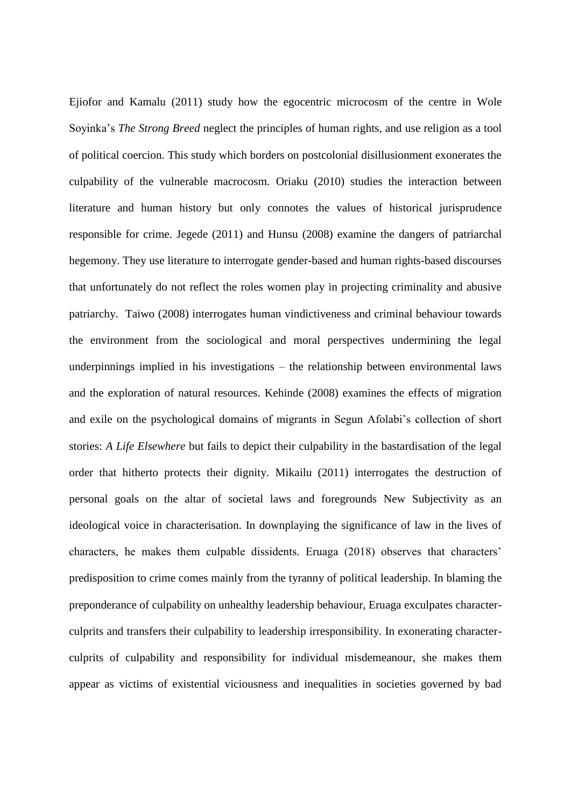Ejiofor and Kamalu (2011) study how the egocentric microcosm of the centre in Wole Soyinka's *The Strong Breed* neglect the principles of human rights, and use religion as a tool of political coercion. This study which borders on postcolonial disillusionment exonerates the culpability of the vulnerable macrocosm. Oriaku (2010) studies the interaction between literature and human history but only connotes the values of historical jurisprudence responsible for crime. Jegede (2011) and Hunsu (2008) examine the dangers of patriarchal hegemony. They use literature to interrogate gender-based and human rights-based discourses that unfortunately do not reflect the roles women play in projecting criminality and abusive patriarchy. Taiwo (2008) interrogates human vindictiveness and criminal behaviour towards the environment from the sociological and moral perspectives undermining the legal underpinnings implied in his investigations – the relationship between environmental laws and the exploration of natural resources. Kehinde (2008) examines the effects of migration and exile on the psychological domains of migrants in Segun Afolabi's collection of short stories: *A Life Elsewhere* but fails to depict their culpability in the bastardisation of the legal order that hitherto protects their dignity. Mikailu (2011) interrogates the destruction of personal goals on the altar of societal laws and foregrounds New Subjectivity as an ideological voice in characterisation. In downplaying the significance of law in the lives of characters, he makes them culpable dissidents. Eruaga (2018) observes that characters' predisposition to crime comes mainly from the tyranny of political leadership. In blaming the preponderance of culpability on unhealthy leadership behaviour, Eruaga exculpates characterculprits and transfers their culpability to leadership irresponsibility. In exonerating characterculprits of culpability and responsibility for individual misdemeanour, she makes them appear as victims of existential viciousness and inequalities in societies governed by bad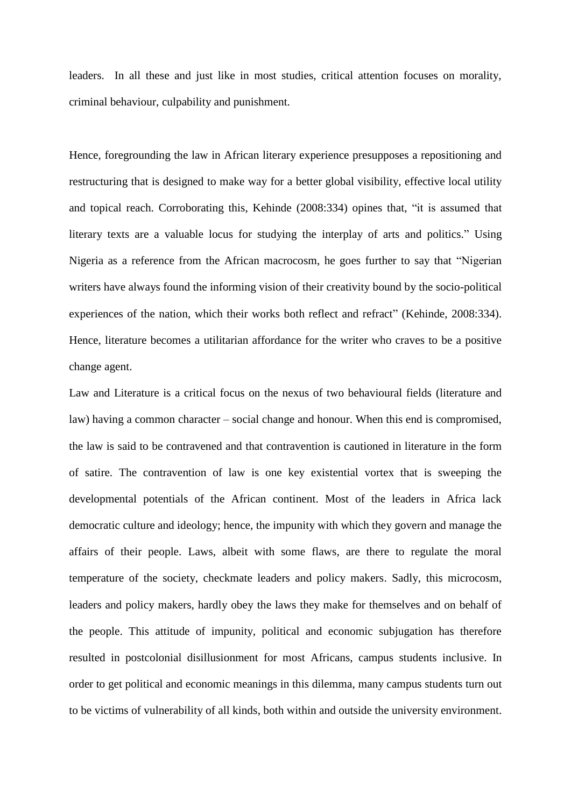leaders. In all these and just like in most studies, critical attention focuses on morality, criminal behaviour, culpability and punishment.

Hence, foregrounding the law in African literary experience presupposes a repositioning and restructuring that is designed to make way for a better global visibility, effective local utility and topical reach. Corroborating this, Kehinde (2008:334) opines that, "it is assumed that literary texts are a valuable locus for studying the interplay of arts and politics." Using Nigeria as a reference from the African macrocosm, he goes further to say that "Nigerian writers have always found the informing vision of their creativity bound by the socio-political experiences of the nation, which their works both reflect and refract" (Kehinde, 2008:334). Hence, literature becomes a utilitarian affordance for the writer who craves to be a positive change agent.

Law and Literature is a critical focus on the nexus of two behavioural fields (literature and law) having a common character – social change and honour. When this end is compromised, the law is said to be contravened and that contravention is cautioned in literature in the form of satire. The contravention of law is one key existential vortex that is sweeping the developmental potentials of the African continent. Most of the leaders in Africa lack democratic culture and ideology; hence, the impunity with which they govern and manage the affairs of their people. Laws, albeit with some flaws, are there to regulate the moral temperature of the society, checkmate leaders and policy makers. Sadly, this microcosm, leaders and policy makers, hardly obey the laws they make for themselves and on behalf of the people. This attitude of impunity, political and economic subjugation has therefore resulted in postcolonial disillusionment for most Africans, campus students inclusive. In order to get political and economic meanings in this dilemma, many campus students turn out to be victims of vulnerability of all kinds, both within and outside the university environment.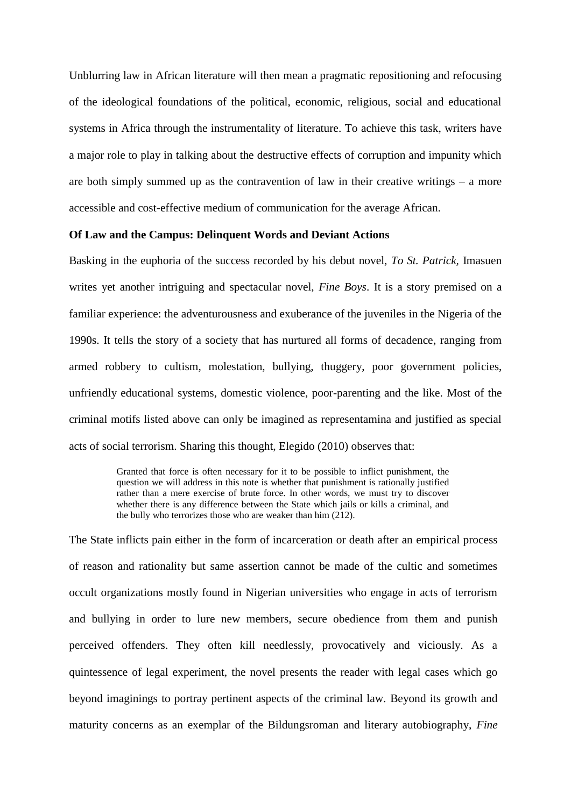Unblurring law in African literature will then mean a pragmatic repositioning and refocusing of the ideological foundations of the political, economic, religious, social and educational systems in Africa through the instrumentality of literature. To achieve this task, writers have a major role to play in talking about the destructive effects of corruption and impunity which are both simply summed up as the contravention of law in their creative writings – a more accessible and cost-effective medium of communication for the average African.

# **Of Law and the Campus: Delinquent Words and Deviant Actions**

Basking in the euphoria of the success recorded by his debut novel, *To St. Patrick,* Imasuen writes yet another intriguing and spectacular novel, *Fine Boys*. It is a story premised on a familiar experience: the adventurousness and exuberance of the juveniles in the Nigeria of the 1990s. It tells the story of a society that has nurtured all forms of decadence, ranging from armed robbery to cultism, molestation, bullying, thuggery, poor government policies, unfriendly educational systems, domestic violence, poor-parenting and the like. Most of the criminal motifs listed above can only be imagined as representamina and justified as special acts of social terrorism. Sharing this thought, Elegido (2010) observes that:

> Granted that force is often necessary for it to be possible to inflict punishment, the question we will address in this note is whether that punishment is rationally justified rather than a mere exercise of brute force. In other words, we must try to discover whether there is any difference between the State which jails or kills a criminal, and the bully who terrorizes those who are weaker than him (212).

The State inflicts pain either in the form of incarceration or death after an empirical process of reason and rationality but same assertion cannot be made of the cultic and sometimes occult organizations mostly found in Nigerian universities who engage in acts of terrorism and bullying in order to lure new members, secure obedience from them and punish perceived offenders. They often kill needlessly, provocatively and viciously. As a quintessence of legal experiment, the novel presents the reader with legal cases which go beyond imaginings to portray pertinent aspects of the criminal law. Beyond its growth and maturity concerns as an exemplar of the Bildungsroman and literary autobiography, *Fine*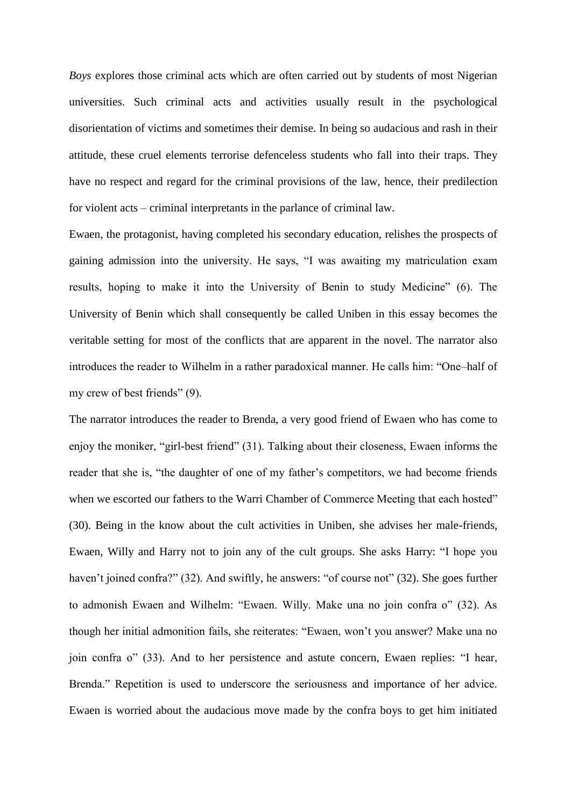*Boys* explores those criminal acts which are often carried out by students of most Nigerian universities. Such criminal acts and activities usually result in the psychological disorientation of victims and sometimes their demise. In being so audacious and rash in their attitude, these cruel elements terrorise defenceless students who fall into their traps. They have no respect and regard for the criminal provisions of the law, hence, their predilection for violent acts – criminal interpretants in the parlance of criminal law.

Ewaen, the protagonist, having completed his secondary education, relishes the prospects of gaining admission into the university. He says, "I was awaiting my matriculation exam results, hoping to make it into the University of Benin to study Medicine" (6). The University of Benin which shall consequently be called Uniben in this essay becomes the veritable setting for most of the conflicts that are apparent in the novel. The narrator also introduces the reader to Wilhelm in a rather paradoxical manner. He calls him: "One–half of my crew of best friends" (9).

The narrator introduces the reader to Brenda, a very good friend of Ewaen who has come to enjoy the moniker, "girl-best friend" (31). Talking about their closeness, Ewaen informs the reader that she is, "the daughter of one of my father's competitors, we had become friends when we escorted our fathers to the Warri Chamber of Commerce Meeting that each hosted" (30). Being in the know about the cult activities in Uniben, she advises her male-friends, Ewaen, Willy and Harry not to join any of the cult groups. She asks Harry: "I hope you haven't joined confra?" (32). And swiftly, he answers: "of course not" (32). She goes further to admonish Ewaen and Wilhelm: "Ewaen. Willy. Make una no join confra o" (32). As though her initial admonition fails, she reiterates: "Ewaen, won't you answer? Make una no join confra o" (33). And to her persistence and astute concern, Ewaen replies: "I hear, Brenda." Repetition is used to underscore the seriousness and importance of her advice. Ewaen is worried about the audacious move made by the confra boys to get him initiated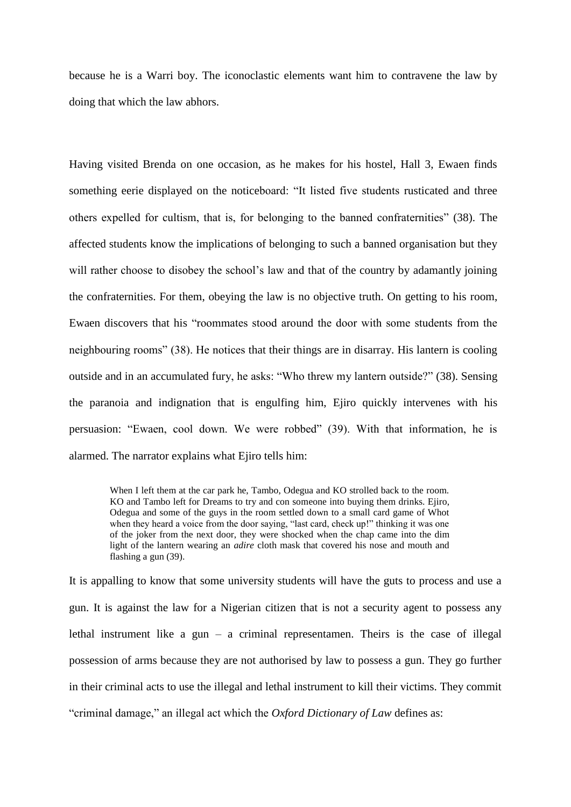because he is a Warri boy. The iconoclastic elements want him to contravene the law by doing that which the law abhors.

Having visited Brenda on one occasion, as he makes for his hostel, Hall 3, Ewaen finds something eerie displayed on the noticeboard: "It listed five students rusticated and three others expelled for cultism, that is, for belonging to the banned confraternities" (38). The affected students know the implications of belonging to such a banned organisation but they will rather choose to disobey the school's law and that of the country by adamantly joining the confraternities. For them, obeying the law is no objective truth. On getting to his room, Ewaen discovers that his "roommates stood around the door with some students from the neighbouring rooms" (38). He notices that their things are in disarray. His lantern is cooling outside and in an accumulated fury, he asks: "Who threw my lantern outside?" (38). Sensing the paranoia and indignation that is engulfing him, Ejiro quickly intervenes with his persuasion: "Ewaen, cool down. We were robbed" (39). With that information, he is alarmed. The narrator explains what Ejiro tells him:

When I left them at the car park he, Tambo, Odegua and KO strolled back to the room. KO and Tambo left for Dreams to try and con someone into buying them drinks. Ejiro, Odegua and some of the guys in the room settled down to a small card game of Whot when they heard a voice from the door saying, "last card, check up!" thinking it was one of the joker from the next door, they were shocked when the chap came into the dim light of the lantern wearing an *adire* cloth mask that covered his nose and mouth and flashing a gun (39).

It is appalling to know that some university students will have the guts to process and use a gun. It is against the law for a Nigerian citizen that is not a security agent to possess any lethal instrument like a gun – a criminal representamen. Theirs is the case of illegal possession of arms because they are not authorised by law to possess a gun. They go further in their criminal acts to use the illegal and lethal instrument to kill their victims. They commit "criminal damage," an illegal act which the *Oxford Dictionary of Law* defines as: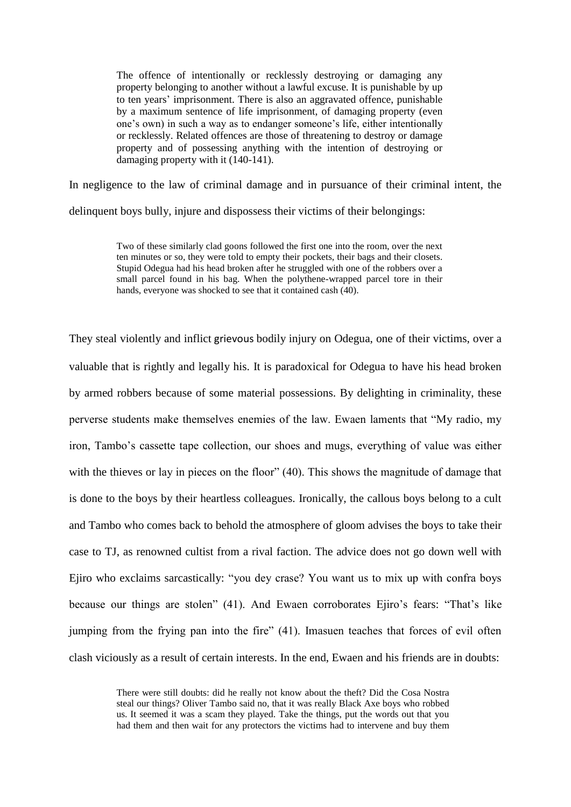The offence of intentionally or recklessly destroying or damaging any property belonging to another without a lawful excuse. It is punishable by up to ten years' imprisonment. There is also an aggravated offence, punishable by a maximum sentence of life imprisonment, of damaging property (even one's own) in such a way as to endanger someone's life, either intentionally or recklessly. Related offences are those of threatening to destroy or damage property and of possessing anything with the intention of destroying or damaging property with it (140-141).

In negligence to the law of criminal damage and in pursuance of their criminal intent, the

delinquent boys bully, injure and dispossess their victims of their belongings:

Two of these similarly clad goons followed the first one into the room, over the next ten minutes or so, they were told to empty their pockets, their bags and their closets. Stupid Odegua had his head broken after he struggled with one of the robbers over a small parcel found in his bag. When the polythene-wrapped parcel tore in their hands, everyone was shocked to see that it contained cash (40).

They steal violently and inflict grievous bodily injury on Odegua, one of their victims, over a valuable that is rightly and legally his. It is paradoxical for Odegua to have his head broken by armed robbers because of some material possessions. By delighting in criminality, these perverse students make themselves enemies of the law. Ewaen laments that "My radio, my iron, Tambo's cassette tape collection, our shoes and mugs, everything of value was either with the thieves or lay in pieces on the floor" (40). This shows the magnitude of damage that is done to the boys by their heartless colleagues. Ironically, the callous boys belong to a cult and Tambo who comes back to behold the atmosphere of gloom advises the boys to take their case to TJ, as renowned cultist from a rival faction. The advice does not go down well with Ejiro who exclaims sarcastically: "you dey crase? You want us to mix up with confra boys because our things are stolen" (41). And Ewaen corroborates Ejiro's fears: "That's like jumping from the frying pan into the fire" (41). Imasuen teaches that forces of evil often clash viciously as a result of certain interests. In the end, Ewaen and his friends are in doubts:

> There were still doubts: did he really not know about the theft? Did the Cosa Nostra steal our things? Oliver Tambo said no, that it was really Black Axe boys who robbed us. It seemed it was a scam they played. Take the things, put the words out that you had them and then wait for any protectors the victims had to intervene and buy them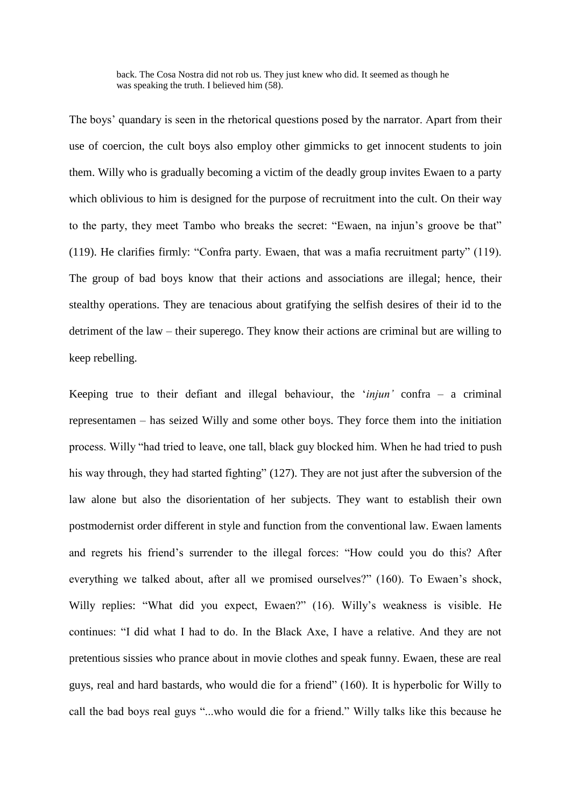back. The Cosa Nostra did not rob us. They just knew who did. It seemed as though he was speaking the truth. I believed him  $(58)$ .

The boys' quandary is seen in the rhetorical questions posed by the narrator. Apart from their use of coercion, the cult boys also employ other gimmicks to get innocent students to join them. Willy who is gradually becoming a victim of the deadly group invites Ewaen to a party which oblivious to him is designed for the purpose of recruitment into the cult. On their way to the party, they meet Tambo who breaks the secret: "Ewaen, na injun's groove be that" (119). He clarifies firmly: "Confra party. Ewaen, that was a mafia recruitment party" (119). The group of bad boys know that their actions and associations are illegal; hence, their stealthy operations. They are tenacious about gratifying the selfish desires of their id to the detriment of the law – their superego. They know their actions are criminal but are willing to keep rebelling.

Keeping true to their defiant and illegal behaviour, the '*injun'* confra – a criminal representamen – has seized Willy and some other boys. They force them into the initiation process. Willy "had tried to leave, one tall, black guy blocked him. When he had tried to push his way through, they had started fighting" (127). They are not just after the subversion of the law alone but also the disorientation of her subjects. They want to establish their own postmodernist order different in style and function from the conventional law. Ewaen laments and regrets his friend's surrender to the illegal forces: "How could you do this? After everything we talked about, after all we promised ourselves?" (160). To Ewaen's shock, Willy replies: "What did you expect, Ewaen?" (16). Willy's weakness is visible. He continues: "I did what I had to do. In the Black Axe, I have a relative. And they are not pretentious sissies who prance about in movie clothes and speak funny. Ewaen, these are real guys, real and hard bastards, who would die for a friend" (160). It is hyperbolic for Willy to call the bad boys real guys "...who would die for a friend." Willy talks like this because he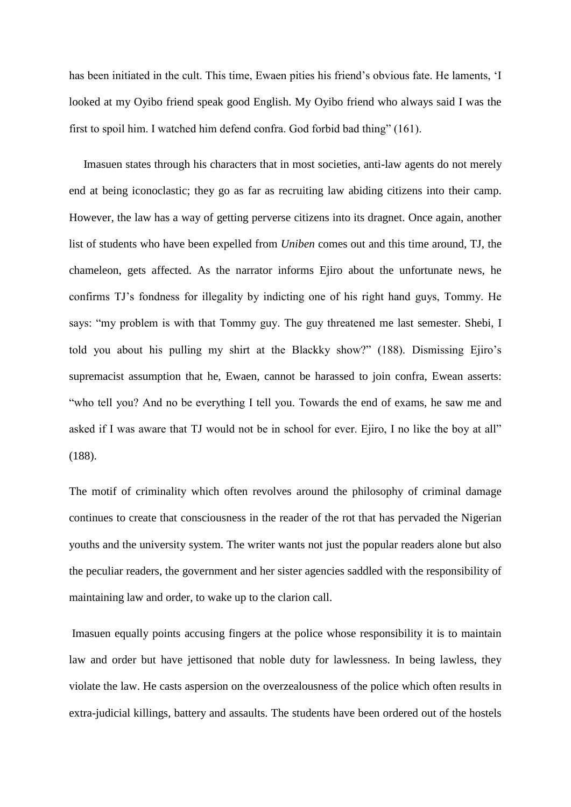has been initiated in the cult. This time, Ewaen pities his friend's obvious fate. He laments, 'I looked at my Oyibo friend speak good English. My Oyibo friend who always said I was the first to spoil him. I watched him defend confra. God forbid bad thing" (161).

 Imasuen states through his characters that in most societies, anti-law agents do not merely end at being iconoclastic; they go as far as recruiting law abiding citizens into their camp. However, the law has a way of getting perverse citizens into its dragnet. Once again, another list of students who have been expelled from *Uniben* comes out and this time around, TJ, the chameleon, gets affected. As the narrator informs Ejiro about the unfortunate news, he confirms TJ's fondness for illegality by indicting one of his right hand guys, Tommy. He says: "my problem is with that Tommy guy. The guy threatened me last semester. Shebi, I told you about his pulling my shirt at the Blackky show?" (188). Dismissing Ejiro's supremacist assumption that he, Ewaen, cannot be harassed to join confra, Ewean asserts: "who tell you? And no be everything I tell you. Towards the end of exams, he saw me and asked if I was aware that TJ would not be in school for ever. Ejiro, I no like the boy at all" (188).

The motif of criminality which often revolves around the philosophy of criminal damage continues to create that consciousness in the reader of the rot that has pervaded the Nigerian youths and the university system. The writer wants not just the popular readers alone but also the peculiar readers, the government and her sister agencies saddled with the responsibility of maintaining law and order, to wake up to the clarion call.

Imasuen equally points accusing fingers at the police whose responsibility it is to maintain law and order but have jettisoned that noble duty for lawlessness. In being lawless, they violate the law. He casts aspersion on the overzealousness of the police which often results in extra-judicial killings, battery and assaults. The students have been ordered out of the hostels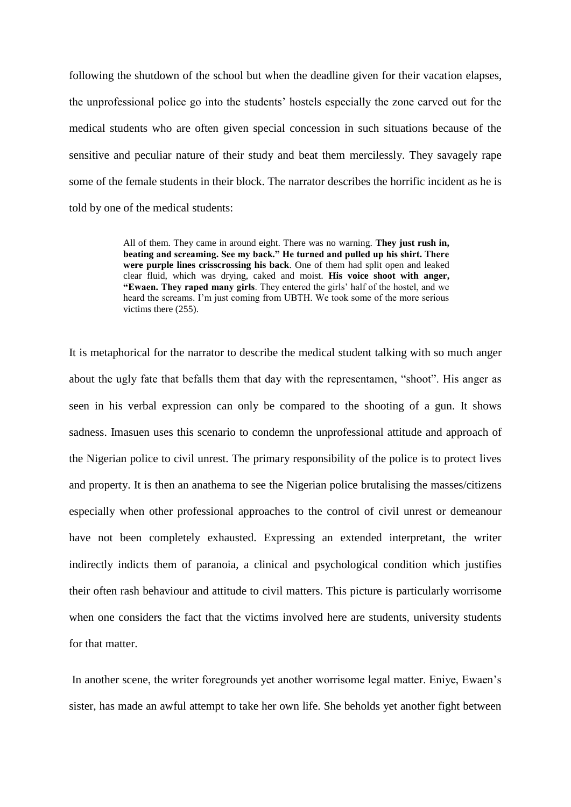following the shutdown of the school but when the deadline given for their vacation elapses, the unprofessional police go into the students' hostels especially the zone carved out for the medical students who are often given special concession in such situations because of the sensitive and peculiar nature of their study and beat them mercilessly. They savagely rape some of the female students in their block. The narrator describes the horrific incident as he is told by one of the medical students:

> All of them. They came in around eight. There was no warning. **They just rush in, beating and screaming. See my back." He turned and pulled up his shirt. There were purple lines crisscrossing his back**. One of them had split open and leaked clear fluid, which was drying, caked and moist. **His voice shoot with anger, "Ewaen. They raped many girls**. They entered the girls' half of the hostel, and we heard the screams. I'm just coming from UBTH. We took some of the more serious victims there (255).

It is metaphorical for the narrator to describe the medical student talking with so much anger about the ugly fate that befalls them that day with the representamen, "shoot". His anger as seen in his verbal expression can only be compared to the shooting of a gun. It shows sadness. Imasuen uses this scenario to condemn the unprofessional attitude and approach of the Nigerian police to civil unrest. The primary responsibility of the police is to protect lives and property. It is then an anathema to see the Nigerian police brutalising the masses/citizens especially when other professional approaches to the control of civil unrest or demeanour have not been completely exhausted. Expressing an extended interpretant, the writer indirectly indicts them of paranoia, a clinical and psychological condition which justifies their often rash behaviour and attitude to civil matters. This picture is particularly worrisome when one considers the fact that the victims involved here are students, university students for that matter.

In another scene, the writer foregrounds yet another worrisome legal matter. Eniye, Ewaen's sister, has made an awful attempt to take her own life. She beholds yet another fight between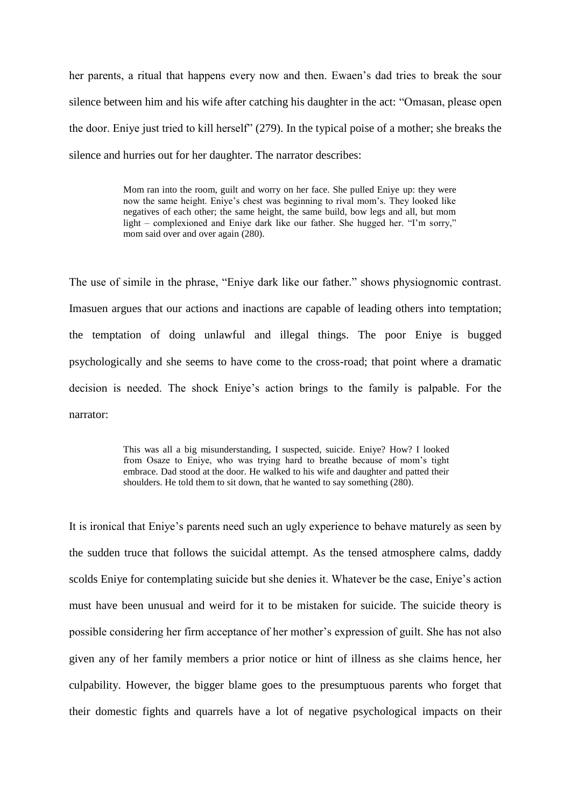her parents, a ritual that happens every now and then. Ewaen's dad tries to break the sour silence between him and his wife after catching his daughter in the act: "Omasan, please open the door. Eniye just tried to kill herself" (279). In the typical poise of a mother; she breaks the silence and hurries out for her daughter. The narrator describes:

> Mom ran into the room, guilt and worry on her face. She pulled Eniye up: they were now the same height. Eniye's chest was beginning to rival mom's. They looked like negatives of each other; the same height, the same build, bow legs and all, but mom light – complexioned and Eniye dark like our father. She hugged her. "I'm sorry," mom said over and over again  $(280)$ .

The use of simile in the phrase, "Eniye dark like our father." shows physiognomic contrast. Imasuen argues that our actions and inactions are capable of leading others into temptation; the temptation of doing unlawful and illegal things. The poor Eniye is bugged psychologically and she seems to have come to the cross-road; that point where a dramatic decision is needed. The shock Eniye's action brings to the family is palpable. For the narrator:

> This was all a big misunderstanding, I suspected, suicide. Eniye? How? I looked from Osaze to Eniye, who was trying hard to breathe because of mom's tight embrace. Dad stood at the door. He walked to his wife and daughter and patted their shoulders. He told them to sit down, that he wanted to say something (280).

It is ironical that Eniye's parents need such an ugly experience to behave maturely as seen by the sudden truce that follows the suicidal attempt. As the tensed atmosphere calms, daddy scolds Eniye for contemplating suicide but she denies it. Whatever be the case, Eniye's action must have been unusual and weird for it to be mistaken for suicide. The suicide theory is possible considering her firm acceptance of her mother's expression of guilt. She has not also given any of her family members a prior notice or hint of illness as she claims hence, her culpability. However, the bigger blame goes to the presumptuous parents who forget that their domestic fights and quarrels have a lot of negative psychological impacts on their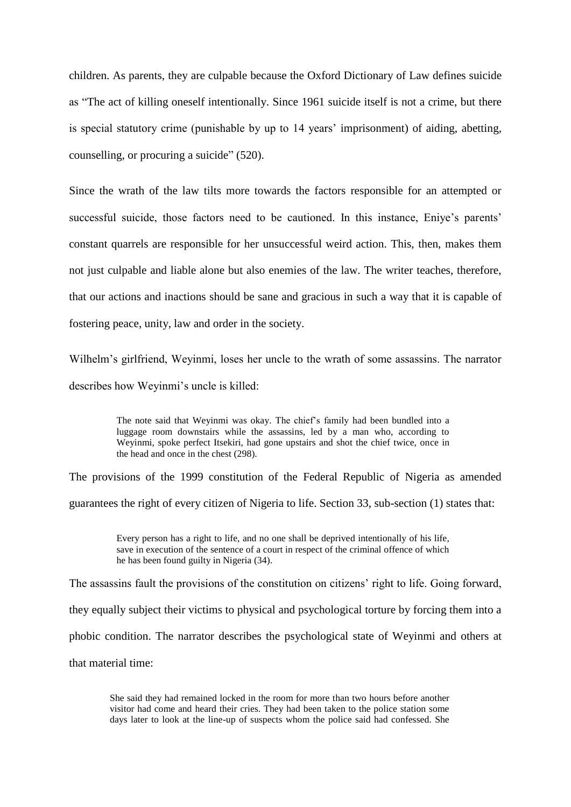children. As parents, they are culpable because the Oxford Dictionary of Law defines suicide as "The act of killing oneself intentionally. Since 1961 suicide itself is not a crime, but there is special statutory crime (punishable by up to 14 years' imprisonment) of aiding, abetting, counselling, or procuring a suicide" (520).

Since the wrath of the law tilts more towards the factors responsible for an attempted or successful suicide, those factors need to be cautioned. In this instance, Eniye's parents' constant quarrels are responsible for her unsuccessful weird action. This, then, makes them not just culpable and liable alone but also enemies of the law. The writer teaches, therefore, that our actions and inactions should be sane and gracious in such a way that it is capable of fostering peace, unity, law and order in the society.

Wilhelm's girlfriend, Weyinmi, loses her uncle to the wrath of some assassins. The narrator describes how Weyinmi's uncle is killed:

> The note said that Weyinmi was okay. The chief's family had been bundled into a luggage room downstairs while the assassins, led by a man who, according to Weyinmi, spoke perfect Itsekiri, had gone upstairs and shot the chief twice, once in the head and once in the chest (298).

The provisions of the 1999 constitution of the Federal Republic of Nigeria as amended guarantees the right of every citizen of Nigeria to life. Section 33, sub-section (1) states that:

> Every person has a right to life, and no one shall be deprived intentionally of his life, save in execution of the sentence of a court in respect of the criminal offence of which he has been found guilty in Nigeria (34).

The assassins fault the provisions of the constitution on citizens' right to life. Going forward, they equally subject their victims to physical and psychological torture by forcing them into a phobic condition. The narrator describes the psychological state of Weyinmi and others at that material time:

She said they had remained locked in the room for more than two hours before another visitor had come and heard their cries. They had been taken to the police station some days later to look at the line-up of suspects whom the police said had confessed. She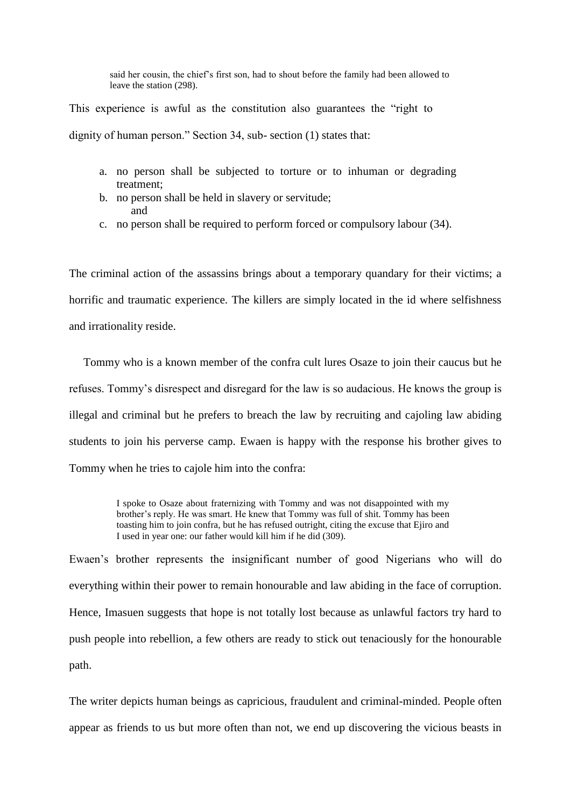said her cousin, the chief's first son, had to shout before the family had been allowed to leave the station (298).

This experience is awful as the constitution also guarantees the "right to dignity of human person." Section 34, sub- section (1) states that:

- a. no person shall be subjected to torture or to inhuman or degrading treatment;
- b. no person shall be held in slavery or servitude; and
- c. no person shall be required to perform forced or compulsory labour (34).

The criminal action of the assassins brings about a temporary quandary for their victims; a horrific and traumatic experience. The killers are simply located in the id where selfishness and irrationality reside.

 Tommy who is a known member of the confra cult lures Osaze to join their caucus but he refuses. Tommy's disrespect and disregard for the law is so audacious. He knows the group is illegal and criminal but he prefers to breach the law by recruiting and cajoling law abiding students to join his perverse camp. Ewaen is happy with the response his brother gives to Tommy when he tries to cajole him into the confra:

> I spoke to Osaze about fraternizing with Tommy and was not disappointed with my brother's reply. He was smart. He knew that Tommy was full of shit. Tommy has been toasting him to join confra, but he has refused outright, citing the excuse that Ejiro and I used in year one: our father would kill him if he did (309).

Ewaen's brother represents the insignificant number of good Nigerians who will do everything within their power to remain honourable and law abiding in the face of corruption. Hence, Imasuen suggests that hope is not totally lost because as unlawful factors try hard to push people into rebellion, a few others are ready to stick out tenaciously for the honourable path.

The writer depicts human beings as capricious, fraudulent and criminal-minded. People often appear as friends to us but more often than not, we end up discovering the vicious beasts in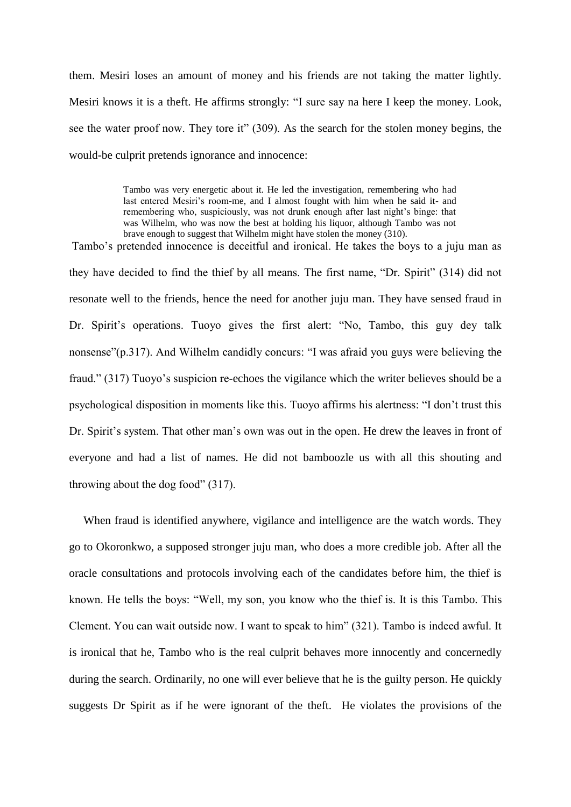them. Mesiri loses an amount of money and his friends are not taking the matter lightly. Mesiri knows it is a theft. He affirms strongly: "I sure say na here I keep the money. Look, see the water proof now. They tore it" (309). As the search for the stolen money begins, the would-be culprit pretends ignorance and innocence:

> Tambo was very energetic about it. He led the investigation, remembering who had last entered Mesiri's room-me, and I almost fought with him when he said it- and remembering who, suspiciously, was not drunk enough after last night's binge: that was Wilhelm, who was now the best at holding his liquor, although Tambo was not brave enough to suggest that Wilhelm might have stolen the money (310).

Tambo's pretended innocence is deceitful and ironical. He takes the boys to a juju man as they have decided to find the thief by all means. The first name, "Dr. Spirit" (314) did not resonate well to the friends, hence the need for another juju man. They have sensed fraud in Dr. Spirit's operations. Tuoyo gives the first alert: "No, Tambo, this guy dey talk nonsense"(p.317). And Wilhelm candidly concurs: "I was afraid you guys were believing the fraud." (317) Tuoyo's suspicion re-echoes the vigilance which the writer believes should be a psychological disposition in moments like this. Tuoyo affirms his alertness: "I don't trust this Dr. Spirit's system. That other man's own was out in the open. He drew the leaves in front of everyone and had a list of names. He did not bamboozle us with all this shouting and throwing about the dog food" (317).

 When fraud is identified anywhere, vigilance and intelligence are the watch words. They go to Okoronkwo, a supposed stronger juju man, who does a more credible job. After all the oracle consultations and protocols involving each of the candidates before him, the thief is known. He tells the boys: "Well, my son, you know who the thief is. It is this Tambo. This Clement. You can wait outside now. I want to speak to him" (321). Tambo is indeed awful. It is ironical that he, Tambo who is the real culprit behaves more innocently and concernedly during the search. Ordinarily, no one will ever believe that he is the guilty person. He quickly suggests Dr Spirit as if he were ignorant of the theft. He violates the provisions of the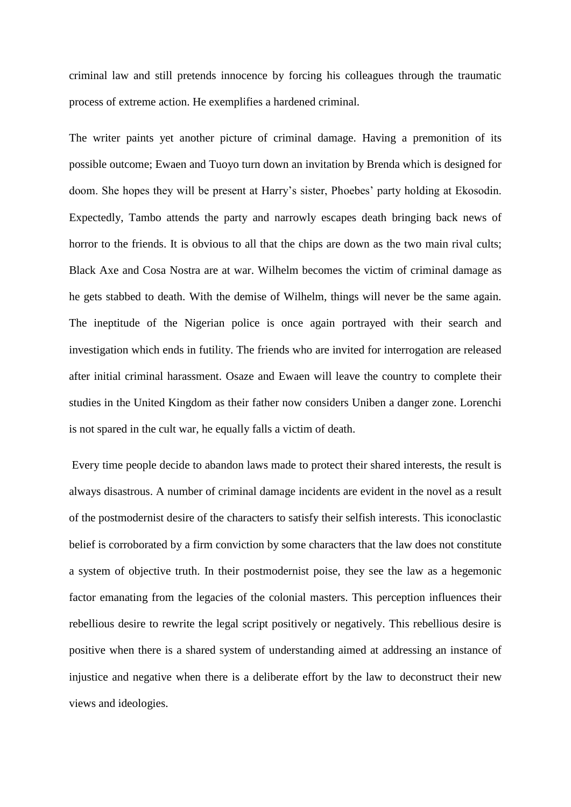criminal law and still pretends innocence by forcing his colleagues through the traumatic process of extreme action. He exemplifies a hardened criminal.

The writer paints yet another picture of criminal damage. Having a premonition of its possible outcome; Ewaen and Tuoyo turn down an invitation by Brenda which is designed for doom. She hopes they will be present at Harry's sister, Phoebes' party holding at Ekosodin. Expectedly, Tambo attends the party and narrowly escapes death bringing back news of horror to the friends. It is obvious to all that the chips are down as the two main rival cults; Black Axe and Cosa Nostra are at war. Wilhelm becomes the victim of criminal damage as he gets stabbed to death. With the demise of Wilhelm, things will never be the same again. The ineptitude of the Nigerian police is once again portrayed with their search and investigation which ends in futility. The friends who are invited for interrogation are released after initial criminal harassment. Osaze and Ewaen will leave the country to complete their studies in the United Kingdom as their father now considers Uniben a danger zone. Lorenchi is not spared in the cult war, he equally falls a victim of death.

Every time people decide to abandon laws made to protect their shared interests, the result is always disastrous. A number of criminal damage incidents are evident in the novel as a result of the postmodernist desire of the characters to satisfy their selfish interests. This iconoclastic belief is corroborated by a firm conviction by some characters that the law does not constitute a system of objective truth. In their postmodernist poise, they see the law as a hegemonic factor emanating from the legacies of the colonial masters. This perception influences their rebellious desire to rewrite the legal script positively or negatively. This rebellious desire is positive when there is a shared system of understanding aimed at addressing an instance of injustice and negative when there is a deliberate effort by the law to deconstruct their new views and ideologies.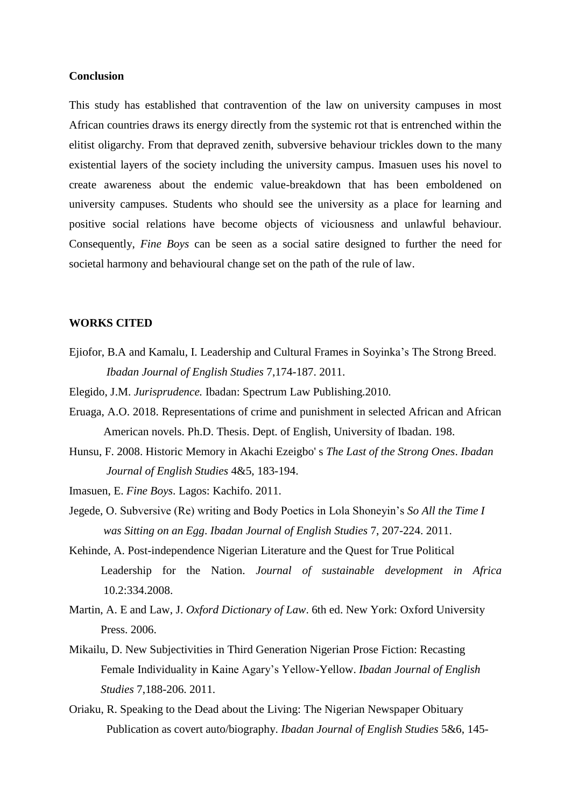# **Conclusion**

This study has established that contravention of the law on university campuses in most African countries draws its energy directly from the systemic rot that is entrenched within the elitist oligarchy. From that depraved zenith, subversive behaviour trickles down to the many existential layers of the society including the university campus. Imasuen uses his novel to create awareness about the endemic value-breakdown that has been emboldened on university campuses. Students who should see the university as a place for learning and positive social relations have become objects of viciousness and unlawful behaviour. Consequently, *Fine Boys* can be seen as a social satire designed to further the need for societal harmony and behavioural change set on the path of the rule of law.

#### **WORKS CITED**

- Ejiofor, B.A and Kamalu, I. Leadership and Cultural Frames in Soyinka's The Strong Breed. *Ibadan Journal of English Studies* 7,174-187. 2011.
- Elegido, J.M. *Jurisprudence.* Ibadan: Spectrum Law Publishing.2010.
- Eruaga, A.O. 2018. Representations of crime and punishment in selected African and African American novels. Ph.D. Thesis. Dept. of English, University of Ibadan. 198.
- Hunsu, F. 2008. Historic Memory in Akachi Ezeigbo' s *The Last of the Strong Ones*. *Ibadan Journal of English Studies* 4&5, 183-194.
- Imasuen, E. *Fine Boys*. Lagos: Kachifo. 2011.
- Jegede, O. Subversive (Re) writing and Body Poetics in Lola Shoneyin's *So All the Time I was Sitting on an Egg*. *Ibadan Journal of English Studies* 7, 207-224. 2011.
- Kehinde, A. Post-independence Nigerian Literature and the Quest for True Political Leadership for the Nation. *Journal of sustainable development in Africa* 10.2:334.2008.
- Martin, A. E and Law, J. *Oxford Dictionary of Law*. 6th ed. New York: Oxford University Press. 2006.
- Mikailu, D. New Subjectivities in Third Generation Nigerian Prose Fiction: Recasting Female Individuality in Kaine Agary's Yellow-Yellow. *Ibadan Journal of English Studies* 7,188-206. 2011.
- Oriaku, R. Speaking to the Dead about the Living: The Nigerian Newspaper Obituary Publication as covert auto/biography. *Ibadan Journal of English Studies* 5&6, 145-